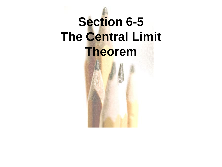# **Section 6-5 The Central Limit Theorem**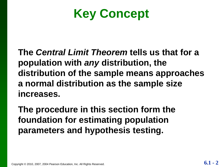## **Key Concept**

**The** *Central Limit Theorem* **tells us that for a population with** *any* **distribution, the distribution of the sample means approaches a normal distribution as the sample size increases.**

**The procedure in this section form the foundation for estimating population parameters and hypothesis testing.**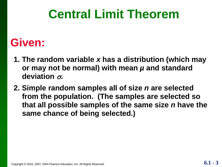### **Central Limit Theorem**

#### **Given:**

- **1. The random variable** *x* **has a distribution (which may or may not be normal) with mean** *µ* **and standard deviation .**
- **2. Simple random samples all of size** *n* **are selected from the population. (The samples are selected so that all possible samples of the same size** *n* **have the same chance of being selected.)**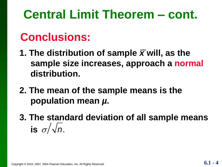## **Central Limit Theorem – cont.**

#### **Conclusions:**

- **1. The distribution of sample** *x* **will, as the sample size increases, approach a normal distribution.**
- **2. The mean of the sample means is the population mean** *µ***.**
- **3. The standard deviation of all sample means** is  $\sigma/\sqrt{n}$ .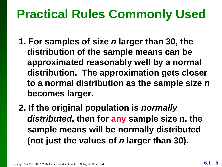## **Practical Rules Commonly Used**

- **1. For samples of size** *n* **larger than 30, the distribution of the sample means can be approximated reasonably well by a normal distribution. The approximation gets closer to a normal distribution as the sample size** *n*  **becomes larger.**
- **2. If the original population is** *normally distributed***, then for any sample size** *n***, the sample means will be normally distributed (not just the values of** *n* **larger than 30).**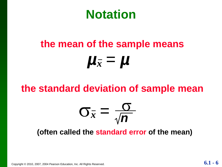#### **Notation**

# **the mean of the sample means** *µ<sup>x</sup>* = *µ*

#### **the standard deviation of sample mean**

$$
\sigma_{\bar{x}} = \frac{\sigma}{\sqrt{n}}
$$

#### **(often called the standard error of the mean)**

Copyright © 2010, 2007, 2004 Pearson Education, Inc. All Rights Reserved. **6.1** - **6** 

L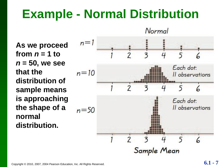### **Example - Normal Distribution**

**As we proceed**  from  $n = 1$  to *n* **= 50, we see that the distribution of sample means is approaching the shape of a normal distribution.**

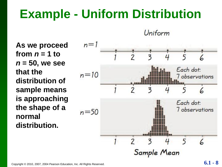### **Example - Uniform Distribution**

Uniform

**As we proceed**  from  $n = 1$  to *n* **= 50, we see that the distribution of sample means is approaching the shape of a normal distribution.**

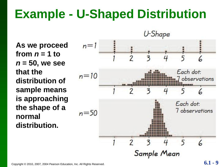### **Example - U-Shaped Distribution**

**As we proceed**  from  $n = 1$  to *n* **= 50, we see that the distribution of sample means is approaching the shape of a normal distribution.**

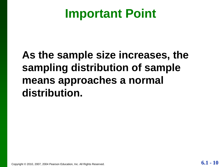### **Important Point**

#### **As the sample size increases, the sampling distribution of sample means approaches a normal distribution.**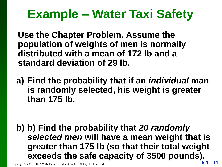## **Example – Water Taxi Safety**

**Use the Chapter Problem. Assume the population of weights of men is normally distributed with a mean of 172 lb and a standard deviation of 29 lb.** 

**a) Find the probability that if an** *individual* **man is randomly selected, his weight is greater than 175 lb.**

**b) b) Find the probability that** *20 randomly selected men* **will have a mean weight that is greater than 175 lb (so that their total weight exceeds the safe capacity of 3500 pounds).**

Copyright © 2010, 2007, 2004 Pearson Education, Inc. All Rights Reserved. **6.1 - 11**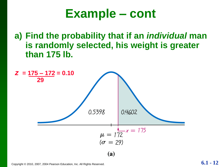#### **Example – cont**

**a) Find the probability that if an** *individual* **man is randomly selected, his weight is greater than 175 lb.**



Copyright © 2010, 2007, 2004 Pearson Education, Inc. All Rights Reserved. **6.1 -**  $12$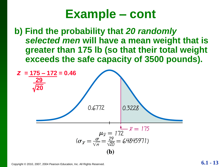#### **Example – cont**

**b) Find the probability that** *20 randomly selected men* **will have a mean weight that is greater than 175 lb (so that their total weight exceeds the safe capacity of 3500 pounds).** 

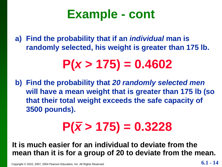### **Example - cont**

**a) Find the probability that if an** *individual* **man is randomly selected, his weight is greater than 175 lb.**

## **P(***x* **> 175) = 0.4602**

**b) Find the probability that** *20 randomly selected men* **will have a mean weight that is greater than 175 lb (so that their total weight exceeds the safe capacity of 3500 pounds).**

# $P(\bar{x} > 175) = 0.3228$

**It is much easier for an individual to deviate from the mean than it is for a group of 20 to deviate from the mean.**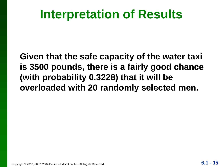### **Interpretation of Results**

**Given that the safe capacity of the water taxi is 3500 pounds, there is a fairly good chance (with probability 0.3228) that it will be overloaded with 20 randomly selected men.**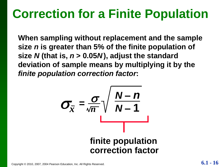## **Correction for a Finite Population**

**When sampling without replacement and the sample size** *n* **is greater than 5% of the finite population of size** *N* **(that is,** *n* **> 0.05***N* **), adjust the standard deviation of sample means by multiplying it by the**  *finite population correction factor***:**

$$
\sigma_{\bar{x}} = \frac{\sigma}{\sqrt{n}} \sqrt{\frac{N-n}{N-1}}
$$
  
finite population  
correction factor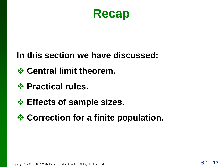

#### **In this section we have discussed:**

- *<b>☆ Central limit theorem.*
- *❖* **Practical rules.**
- **Effects of sample sizes.**
- **☆ Correction for a finite population.**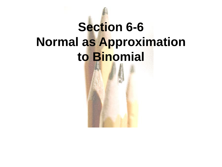# **Section 6-6 Normal as Approximation to Binomial**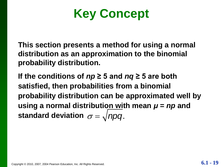**Key Concept**

**This section presents a method for using a normal distribution as an approximation to the binomial probability distribution.**

**If the conditions of** *np* **≥ 5 and** *nq* **≥ 5 are both satisfied, then probabilities from a binomial probability distribution can be approximated well by using a normal distribution with mean** *μ* **=** *np* **and**  standard deviation  $\sigma = \sqrt{n p q}$ .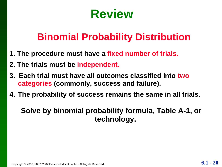### **Review**

#### **Binomial Probability Distribution**

- **1. The procedure must have a fixed number of trials.**
- **2. The trials must be independent.**
- **3. Each trial must have all outcomes classified into two categories (commonly, success and failure).**
- **4. The probability of success remains the same in all trials.**

#### **Solve by binomial probability formula, Table A-1, or technology.**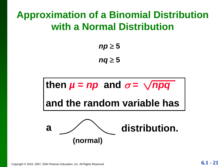#### **Approximation of a Binomial Distribution with a Normal Distribution**

 $np \geq 5$  $nq \geq 5$ 

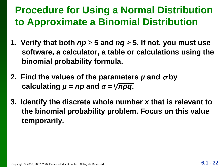#### **Procedure for Using a Normal Distribution to Approximate a Binomial Distribution**

- **1. Verify that both**  $np \ge 5$  **and**  $nq \ge 5$ **. If not, you must use software, a calculator, a table or calculations using the binomial probability formula.**
- **2. Find the values of the parameters**  $\mu$  **and**  $\sigma$  **by calculating**  $\mu = np$  **and**  $\sigma = \sqrt{npq}$ **.**
- **3. Identify the discrete whole number** *x* **that is relevant to the binomial probability problem. Focus on this value temporarily.**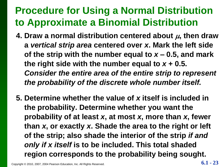#### **Procedure for Using a Normal Distribution to Approximate a Binomial Distribution**

- **4. Draw a normal distribution centered about**  $\mu$ **, then draw a** *vertical strip area* **centered over** *x***. Mark the left side**  of the strip with the number equal to  $x - 0.5$ , and mark the right side with the number equal to  $x + 0.5$ . *Consider the entire area of the entire strip to represent the probability of the discrete whole number itself.*
- **5. Determine whether the value of** *x* **itself is included in the probability. Determine whether you want the probability of at least** *x***, at most** *x***, more than** *x***, fewer than** *x***, or exactly** *x***. Shade the area to the right or left of the strip; also shade the interior of the strip** *if and only if x itself* **is to be included. This total shaded region corresponds to the probability being sought.**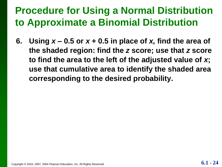#### **Procedure for Using a Normal Distribution to Approximate a Binomial Distribution**

**6.** Using  $x - 0.5$  or  $x + 0.5$  in place of  $x$ , find the area of **the shaded region: find the** *z* **score; use that** *z* **score to find the area to the left of the adjusted value of** *x***; use that cumulative area to identify the shaded area corresponding to the desired probability.**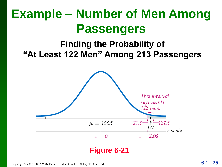## **Example – Number of Men Among Passengers**

#### **Finding the Probability of "At Least 122 Men" Among 213 Passengers**

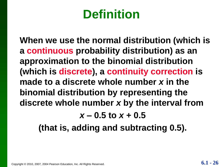## **Definition**

**When we use the normal distribution (which is a continuous probability distribution) as an approximation to the binomial distribution (which is discrete), a continuity correction is made to a discrete whole number** *x* **in the binomial distribution by representing the discrete whole number** *x* **by the interval from** 

*x* **– 0.5 to** *x* **+ 0.5**

**(that is, adding and subtracting 0.5).**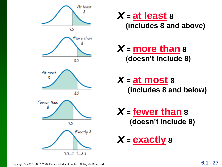

*x* **<sup>=</sup>at least <sup>8</sup> (includes 8 and above)**

#### *x* **<sup>=</sup>more than <sup>8</sup> (doesn't include 8)**

*x* **<sup>=</sup>at most <sup>8</sup> (includes 8 and below)**

*x* **<sup>=</sup>fewer than <sup>8</sup> (doesn't include 8)**